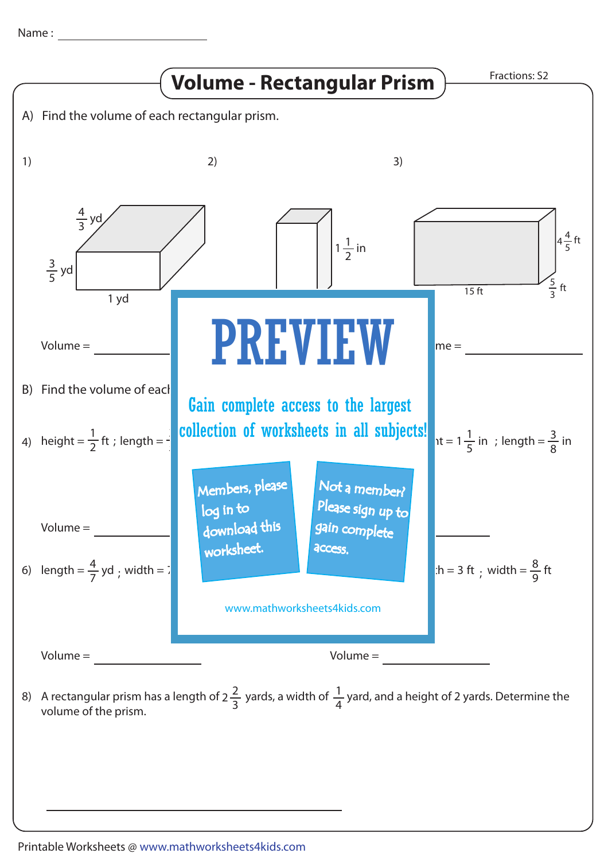Name :